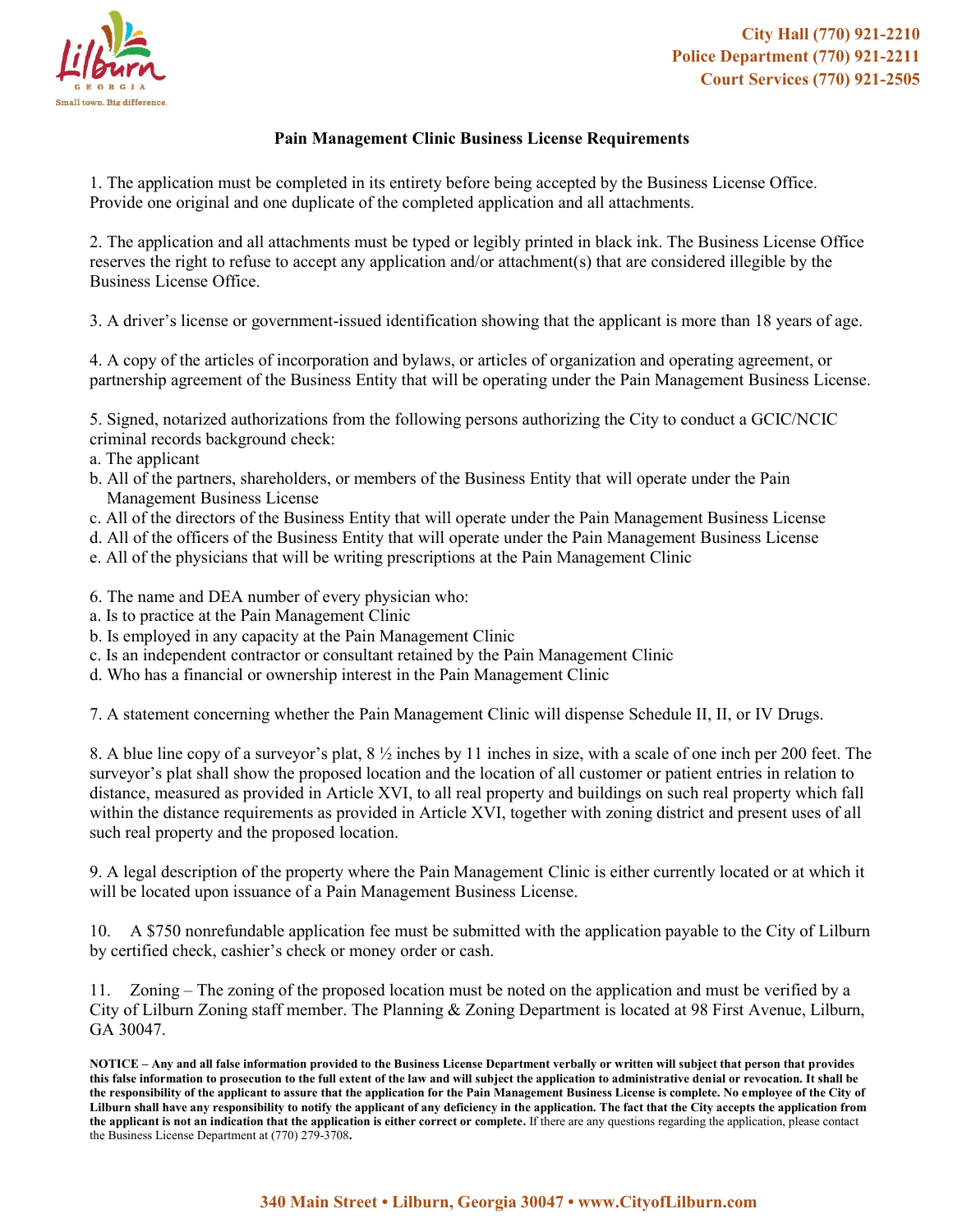

## **Pain Management Clinic Business License Requirements**

1. The application must be completed in its entirety before being accepted by the Business License Office. Provide one original and one duplicate of the completed application and all attachments.

2. The application and all attachments must be typed or legibly printed in black ink. The Business License Office reserves the right to refuse to accept any application and/or attachment(s) that are considered illegible by the Business License Office.

3. A driver's license or government-issued identification showing that the applicant is more than 18 years of age.

4. A copy of the articles of incorporation and bylaws, or articles of organization and operating agreement, or partnership agreement of the Business Entity that will be operating under the Pain Management Business License.

5. Signed, notarized authorizations from the following persons authorizing the City to conduct a GCIC/NCIC criminal records background check:

- a. The applicant
- b. All of the partners, shareholders, or members of the Business Entity that will operate under the Pain Management Business License
- c. All of the directors of the Business Entity that will operate under the Pain Management Business License
- d. All of the officers of the Business Entity that will operate under the Pain Management Business License
- e. All of the physicians that will be writing prescriptions at the Pain Management Clinic
- 6. The name and DEA number of every physician who:
- a. Is to practice at the Pain Management Clinic
- b. Is employed in any capacity at the Pain Management Clinic
- c. Is an independent contractor or consultant retained by the Pain Management Clinic
- d. Who has a financial or ownership interest in the Pain Management Clinic

7. A statement concerning whether the Pain Management Clinic will dispense Schedule II, II, or IV Drugs.

8. A blue line copy of a surveyor's plat, 8 ½ inches by 11 inches in size, with a scale of one inch per 200 feet. The surveyor's plat shall show the proposed location and the location of all customer or patient entries in relation to distance, measured as provided in Article XVI, to all real property and buildings on such real property which fall within the distance requirements as provided in Article XVI, together with zoning district and present uses of all such real property and the proposed location.

9. A legal description of the property where the Pain Management Clinic is either currently located or at which it will be located upon issuance of a Pain Management Business License.

10. A \$750 nonrefundable application fee must be submitted with the application payable to the City of Lilburn by certified check, cashier's check or money order or cash.

11. Zoning – The zoning of the proposed location must be noted on the application and must be verified by a City of Lilburn Zoning staff member. The Planning & Zoning Department is located at 98 First Avenue, Lilburn, GA 30047.

**NOTICE – Any and all false information provided to the Business License Department verbally or written will subject that person that provides this false information to prosecution to the full extent of the law and will subject the application to administrative denial or revocation. It shall be the responsibility of the applicant to assure that the application for the Pain Management Business License is complete. No employee of the City of Lilburn shall have any responsibility to notify the applicant of any deficiency in the application. The fact that the City accepts the application from the applicant is not an indication that the application is either correct or complete.** If there are any questions regarding the application, please contact the Business License Department at (770) 279-3708**.**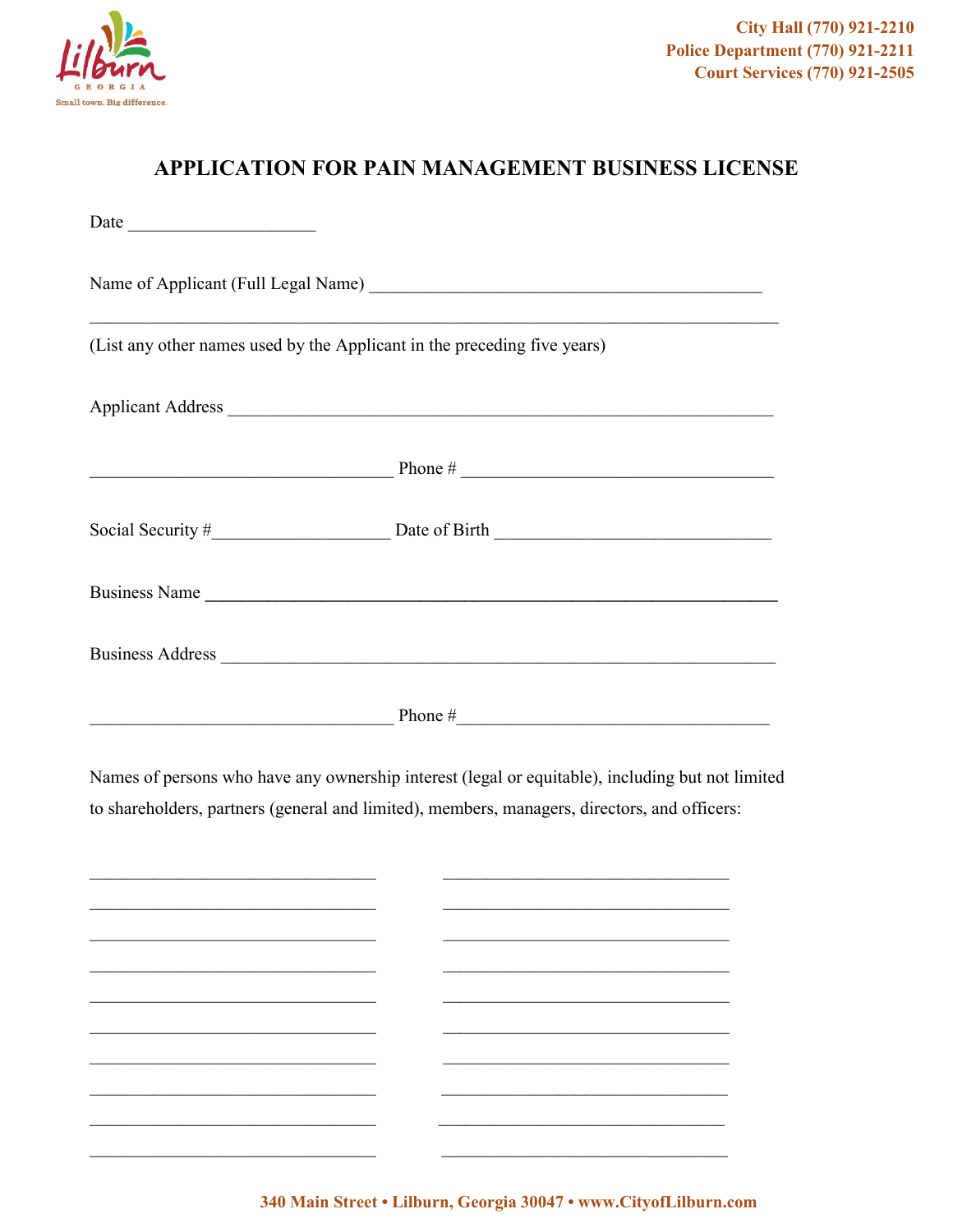

## **APPLICATION FOR PAIN MANAGEMENT BUSINESS LICENSE**

| (List any other names used by the Applicant in the preceding five years) |
|--------------------------------------------------------------------------|
|                                                                          |
|                                                                          |
|                                                                          |
|                                                                          |
|                                                                          |
| Phone #                                                                  |

Names of persons who have any ownership interest (legal or equitable), including but not limited to shareholders, partners (general and limited), members, managers, directors, and officers:

| $\sim$ $\sim$ $\sim$ $\sim$             |  |
|-----------------------------------------|--|
|                                         |  |
| $\sim$ 100 $\sim$ 100 $\sim$            |  |
|                                         |  |
| and the company of the company of       |  |
|                                         |  |
|                                         |  |
|                                         |  |
|                                         |  |
| $\sim$ 100 $\sim$ 100 $\sim$ 100 $\sim$ |  |
|                                         |  |
|                                         |  |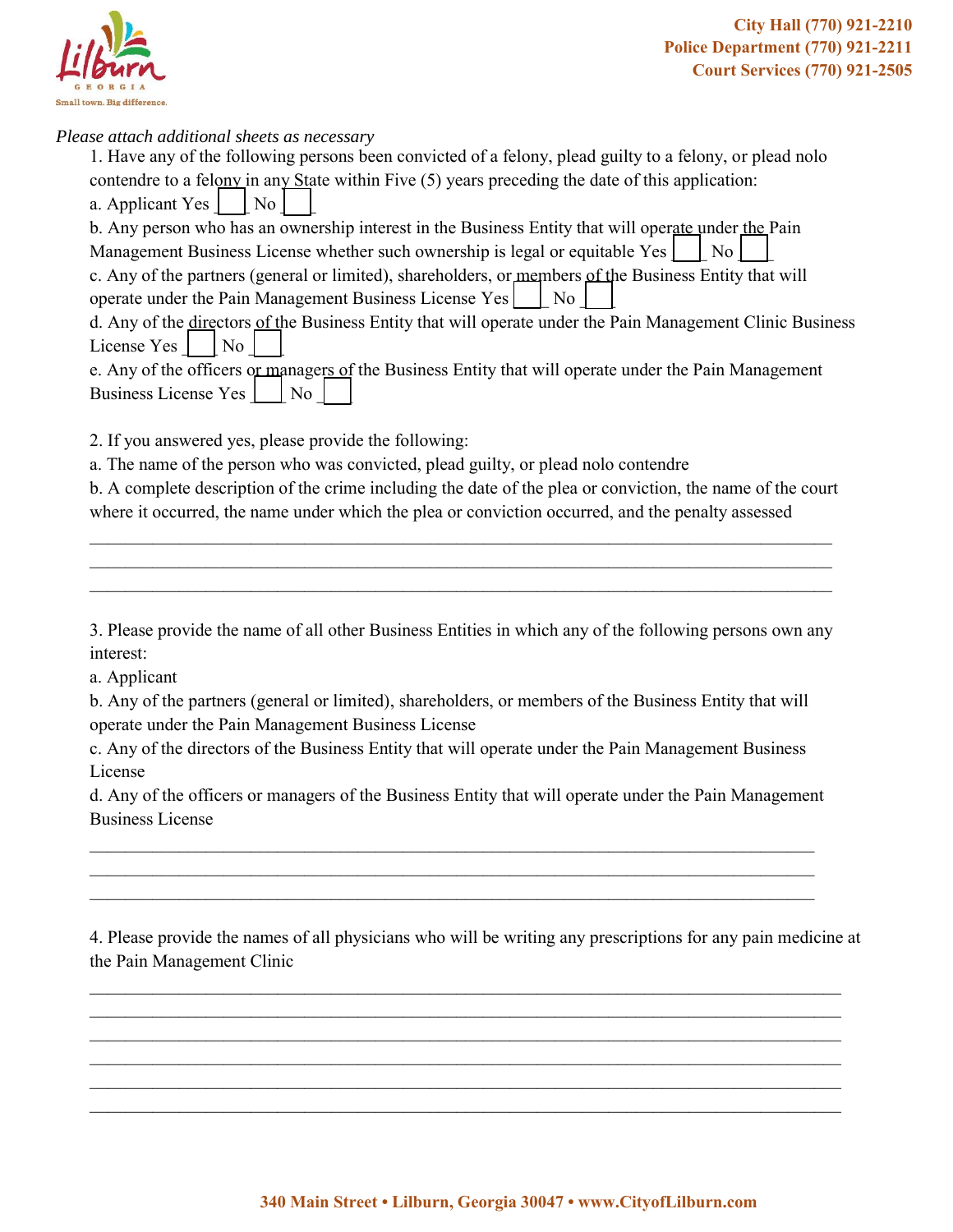

*Please attach additional sheets as necessary*

| 1. Have any of the following persons been convicted of a felony, plead guilty to a felony, or plead nolo   |  |  |
|------------------------------------------------------------------------------------------------------------|--|--|
| contendre to a felony in any State within Five (5) years preceding the date of this application:           |  |  |
| a. Applicant Yes<br>N <sub>o</sub>                                                                         |  |  |
| b. Any person who has an ownership interest in the Business Entity that will operate under the Pain        |  |  |
| Management Business License whether such ownership is legal or equitable Yes<br>No.                        |  |  |
| c. Any of the partners (general or limited), shareholders, or members of the Business Entity that will     |  |  |
| operate under the Pain Management Business License Yes     No                                              |  |  |
| d. Any of the directors of the Business Entity that will operate under the Pain Management Clinic Business |  |  |
| License Yes<br>$\overline{\phantom{a}}$ No                                                                 |  |  |
| e. Any of the officers or managers of the Business Entity that will operate under the Pain Management      |  |  |
| Business License Yes     No                                                                                |  |  |
|                                                                                                            |  |  |
| 2. If you answered yes, please provide the following:                                                      |  |  |
| a. The name of the person who was convicted, plead guilty, or plead nolo contendre                         |  |  |
| b. A complete description of the crime including the date of the plea or conviction, the name of the court |  |  |
| where it occurred, the name under which the plea or conviction occurred, and the penalty assessed          |  |  |

3. Please provide the name of all other Business Entities in which any of the following persons own any interest:

 $\_$  , and the contribution of the contribution of the contribution of the contribution of  $\mathcal{L}_\text{max}$ \_\_\_\_\_\_\_\_\_\_\_\_\_\_\_\_\_\_\_\_\_\_\_\_\_\_\_\_\_\_\_\_\_\_\_\_\_\_\_\_\_\_\_\_\_\_\_\_\_\_\_\_\_\_\_\_\_\_\_\_\_\_\_\_\_\_\_\_\_\_\_\_\_\_\_\_\_\_\_\_\_\_\_  $\_$  , and the contribution of the contribution of the contribution of the contribution of  $\mathcal{L}_\text{max}$ 

a. Applicant

b. Any of the partners (general or limited), shareholders, or members of the Business Entity that will operate under the Pain Management Business License

c. Any of the directors of the Business Entity that will operate under the Pain Management Business License

d. Any of the officers or managers of the Business Entity that will operate under the Pain Management Business License

 $\mathcal{L}_\mathcal{L} = \{ \mathcal{L}_\mathcal{L} = \{ \mathcal{L}_\mathcal{L} = \{ \mathcal{L}_\mathcal{L} = \{ \mathcal{L}_\mathcal{L} = \{ \mathcal{L}_\mathcal{L} = \{ \mathcal{L}_\mathcal{L} = \{ \mathcal{L}_\mathcal{L} = \{ \mathcal{L}_\mathcal{L} = \{ \mathcal{L}_\mathcal{L} = \{ \mathcal{L}_\mathcal{L} = \{ \mathcal{L}_\mathcal{L} = \{ \mathcal{L}_\mathcal{L} = \{ \mathcal{L}_\mathcal{L} = \{ \mathcal{L}_\mathcal{$  $\_$  , and the contribution of the contribution of the contribution of the contribution of  $\mathcal{L}_\text{max}$ \_\_\_\_\_\_\_\_\_\_\_\_\_\_\_\_\_\_\_\_\_\_\_\_\_\_\_\_\_\_\_\_\_\_\_\_\_\_\_\_\_\_\_\_\_\_\_\_\_\_\_\_\_\_\_\_\_\_\_\_\_\_\_\_\_\_\_\_\_\_\_\_\_\_\_\_\_\_\_\_\_

4. Please provide the names of all physicians who will be writing any prescriptions for any pain medicine at the Pain Management Clinic

 $\_$  , and the contribution of the contribution of the contribution of the contribution of  $\mathcal{L}_\text{max}$  $\_$  , and the contribution of the contribution of the contribution of the contribution of  $\mathcal{L}_\text{max}$ \_\_\_\_\_\_\_\_\_\_\_\_\_\_\_\_\_\_\_\_\_\_\_\_\_\_\_\_\_\_\_\_\_\_\_\_\_\_\_\_\_\_\_\_\_\_\_\_\_\_\_\_\_\_\_\_\_\_\_\_\_\_\_\_\_\_\_\_\_\_\_\_\_\_\_\_\_\_\_\_\_\_\_\_ \_\_\_\_\_\_\_\_\_\_\_\_\_\_\_\_\_\_\_\_\_\_\_\_\_\_\_\_\_\_\_\_\_\_\_\_\_\_\_\_\_\_\_\_\_\_\_\_\_\_\_\_\_\_\_\_\_\_\_\_\_\_\_\_\_\_\_\_\_\_\_\_\_\_\_\_\_\_\_\_\_\_\_\_ \_\_\_\_\_\_\_\_\_\_\_\_\_\_\_\_\_\_\_\_\_\_\_\_\_\_\_\_\_\_\_\_\_\_\_\_\_\_\_\_\_\_\_\_\_\_\_\_\_\_\_\_\_\_\_\_\_\_\_\_\_\_\_\_\_\_\_\_\_\_\_\_\_\_\_\_\_\_\_\_\_\_\_\_ \_\_\_\_\_\_\_\_\_\_\_\_\_\_\_\_\_\_\_\_\_\_\_\_\_\_\_\_\_\_\_\_\_\_\_\_\_\_\_\_\_\_\_\_\_\_\_\_\_\_\_\_\_\_\_\_\_\_\_\_\_\_\_\_\_\_\_\_\_\_\_\_\_\_\_\_\_\_\_\_\_\_\_\_